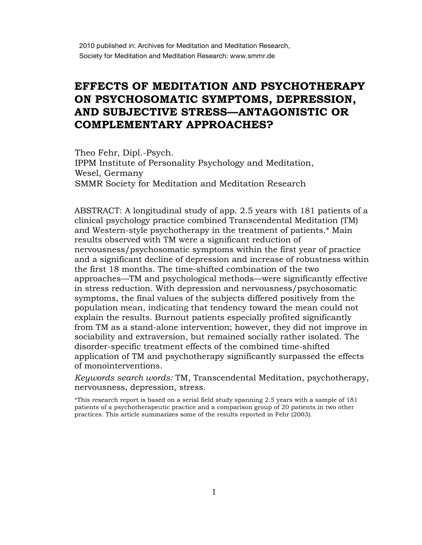## **EFFECTS OF MEDITATION AND PSYCHOTHERAPY ON PSYCHOSOMATIC SYMPTOMS, DEPRESSION, AND SUBJECTIVE STRESS—ANTAGONISTIC OR COMPLEMENTARY APPROACHES?**

Theo Fehr, Dipl.-Psych. Theo Fehr, Dipl.-Psych. IPPM Institute of Personality Psychology and Meditation, Wesel, Germany Wesel, Germany SMMR Society for Meditation and Meditation Research SMMR Society for Meditation and Meditation Research

ABSTRACT: A longitudinal study of app. 2.5 years with 181 patients of a clinical psychology practice combined Transcendental Meditation (TM) and Western-style psychotherapy in the treatment of patients.\* Main results observed with TM were a significant reduction of nervousness/psychosomatic symptoms within the first year of practice and a significant decline of depression and increase of robustness within the first 18 months. The time-shifted combination of the two approaches—TM and psychological methods—were significantly effective in stress reduction. With depression and nervousness/psychosomatic symptoms, the final values of the subjects differed positively from the population mean, indicating that tendency toward the mean could not explain the results. Burnout patients especially profited significantly from TM as a stand-alone intervention; however, they did not improve in sociability and extraversion, but remained socially rather isolated. The disorder-specific treatment effects of the combined time-shifted application of TM and psychotherapy significantly surpassed the effects of monointerventions.

*Keywords search words:* TM, Transcendental Meditation, psychotherapy, nervousness, depression, stress.

\*This research report is based on a serial field study spanning 2.5 years with a sample of 181 patients of a psychotherapeutic practice and a comparison group of 20 patients in two other practices. This article summarizes some of the results reported in Fehr (2003).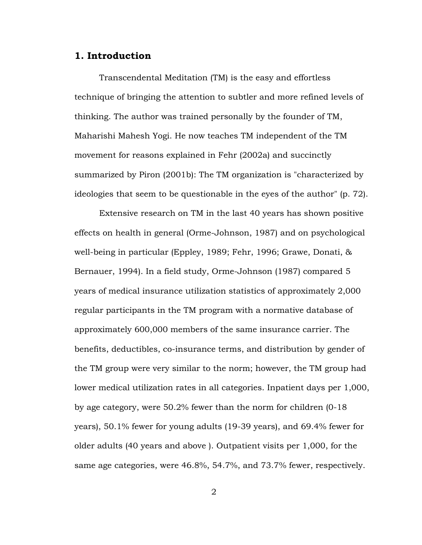## **1. Introduction**

Transcendental Meditation (TM) is the easy and effortless technique of bringing the attention to subtler and more refined levels of thinking. The author was trained personally by the founder of TM, Maharishi Mahesh Yogi. He now teaches TM independent of the TM movement for reasons explained in Fehr (2002a) and succinctly summarized by Piron (2001b): The TM organization is "characterized by ideologies that seem to be questionable in the eyes of the author" (p. 72).

Extensive research on TM in the last 40 years has shown positive effects on health in general (Orme-Johnson, 1987) and on psychological well-being in particular (Eppley, 1989; Fehr, 1996; Grawe, Donati, & Bernauer, 1994). In a field study, Orme-Johnson (1987) compared 5 years of medical insurance utilization statistics of approximately 2,000 regular participants in the TM program with a normative database of approximately 600,000 members of the same insurance carrier. The benefits, deductibles, co-insurance terms, and distribution by gender of the TM group were very similar to the norm; however, the TM group had lower medical utilization rates in all categories. Inpatient days per 1,000, by age category, were 50.2% fewer than the norm for children (0-18 years), 50.1% fewer for young adults (19-39 years), and 69.4% fewer for older adults (40 years and above ). Outpatient visits per 1,000, for the same age categories, were 46.8%, 54.7%, and 73.7% fewer, respectively.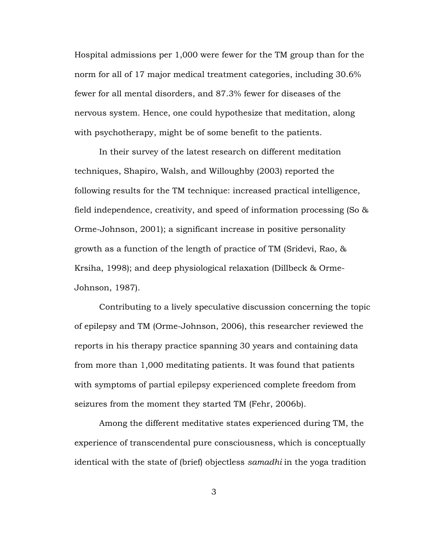Hospital admissions per 1,000 were fewer for the TM group than for the norm for all of 17 major medical treatment categories, including 30.6% fewer for all mental disorders, and 87.3% fewer for diseases of the nervous system. Hence, one could hypothesize that meditation, along with psychotherapy, might be of some benefit to the patients.

In their survey of the latest research on different meditation techniques, Shapiro, Walsh, and Willoughby (2003) reported the following results for the TM technique: increased practical intelligence, field independence, creativity, and speed of information processing (So & Orme-Johnson, 2001); a significant increase in positive personality growth as a function of the length of practice of TM (Sridevi, Rao, & Krsiha, 1998); and deep physiological relaxation (Dillbeck & Orme-Johnson, 1987).

Contributing to a lively speculative discussion concerning the topic of epilepsy and TM (Orme-Johnson, 2006), this researcher reviewed the reports in his therapy practice spanning 30 years and containing data from more than 1,000 meditating patients. It was found that patients with symptoms of partial epilepsy experienced complete freedom from seizures from the moment they started TM (Fehr, 2006b).

Among the different meditative states experienced during TM, the experience of transcendental pure consciousness, which is conceptually identical with the state of (brief) objectless *samadhi* in the yoga tradition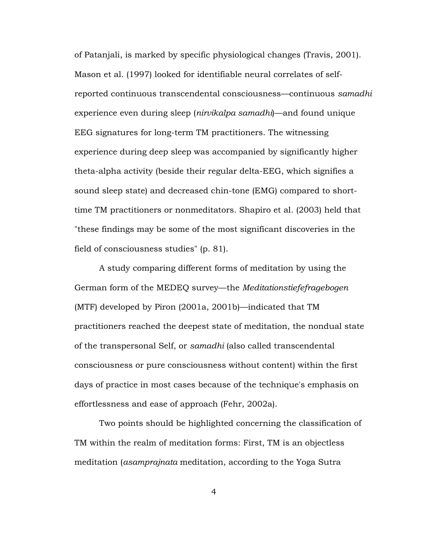of Patanjali, is marked by specific physiological changes (Travis, 2001). Mason et al. (1997) looked for identifiable neural correlates of selfreported continuous transcendental consciousness—continuous *samadhi* experience even during sleep (*nirvikalpa samadhi*)—and found unique EEG signatures for long-term TM practitioners. The witnessing experience during deep sleep was accompanied by significantly higher theta-alpha activity (beside their regular delta-EEG, which signifies a sound sleep state) and decreased chin-tone (EMG) compared to shorttime TM practitioners or nonmeditators. Shapiro et al. (2003) held that "these findings may be some of the most significant discoveries in the field of consciousness studies" (p. 81).

A study comparing different forms of meditation by using the German form of the MEDEQ survey—the *Meditationstiefefragebogen* (MTF) developed by Piron (2001a, 2001b)—indicated that TM practitioners reached the deepest state of meditation, the nondual state of the transpersonal Self, or *samadhi* (also called transcendental consciousness or pure consciousness without content) within the first days of practice in most cases because of the technique's emphasis on effortlessness and ease of approach (Fehr, 2002a).

Two points should be highlighted concerning the classification of TM within the realm of meditation forms: First, TM is an objectless meditation (*asamprajnata* meditation, according to the Yoga Sutra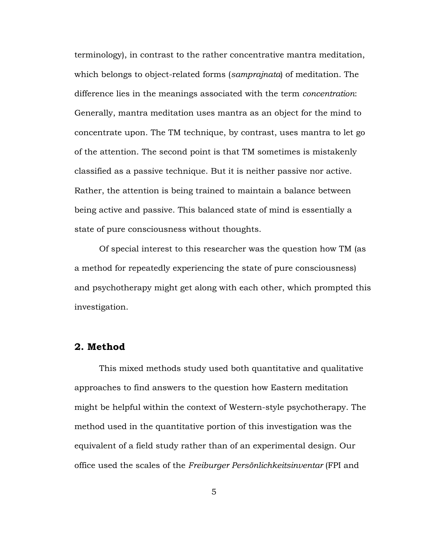terminology), in contrast to the rather concentrative mantra meditation, which belongs to object-related forms (*samprajnata*) of meditation. The difference lies in the meanings associated with the term *concentration*: Generally, mantra meditation uses mantra as an object for the mind to concentrate upon. The TM technique, by contrast, uses mantra to let go of the attention. The second point is that TM sometimes is mistakenly classified as a passive technique. But it is neither passive nor active. Rather, the attention is being trained to maintain a balance between being active and passive. This balanced state of mind is essentially a state of pure consciousness without thoughts.

Of special interest to this researcher was the question how TM (as a method for repeatedly experiencing the state of pure consciousness) and psychotherapy might get along with each other, which prompted this investigation.

## **2. Method**

This mixed methods study used both quantitative and qualitative approaches to find answers to the question how Eastern meditation might be helpful within the context of Western-style psychotherapy. The method used in the quantitative portion of this investigation was the equivalent of a field study rather than of an experimental design. Our office used the scales of the *Freiburger Persönlichkeitsinventar* (FPI and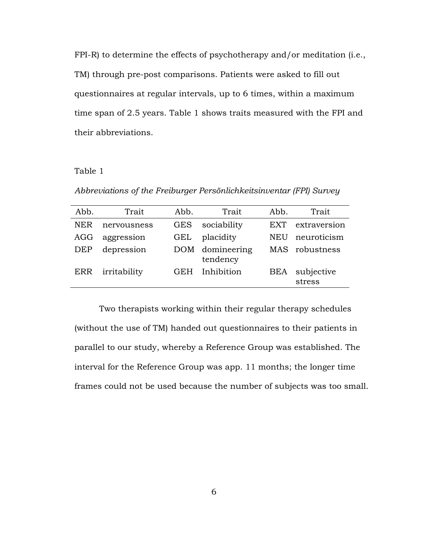FPI-R) to determine the effects of psychotherapy and/or meditation (i.e., TM) through pre-post comparisons. Patients were asked to fill out questionnaires at regular intervals, up to 6 times, within a maximum time span of 2.5 years. Table 1 shows traits measured with the FPI and their abbreviations.

#### Table 1

*Abbreviations of the Freiburger Persönlichkeitsinventar (FPI) Survey*

| Abb.       | Trait        | Abb.       | Trait                       | Abb.       | Trait                |
|------------|--------------|------------|-----------------------------|------------|----------------------|
| NER        | nervousness  | <b>GES</b> | sociability                 | <b>EXT</b> | extraversion         |
| AGG        | aggression   | GEL        | placidity                   | NEU        | neuroticism          |
| <b>DEP</b> | depression   |            | DOM domineering<br>tendency |            | MAS robustness       |
| ERR        | irritability | <b>GEH</b> | Inhibition                  | <b>BEA</b> | subjective<br>stress |

Two therapists working within their regular therapy schedules (without the use of TM) handed out questionnaires to their patients in parallel to our study, whereby a Reference Group was established. The interval for the Reference Group was app. 11 months; the longer time frames could not be used because the number of subjects was too small.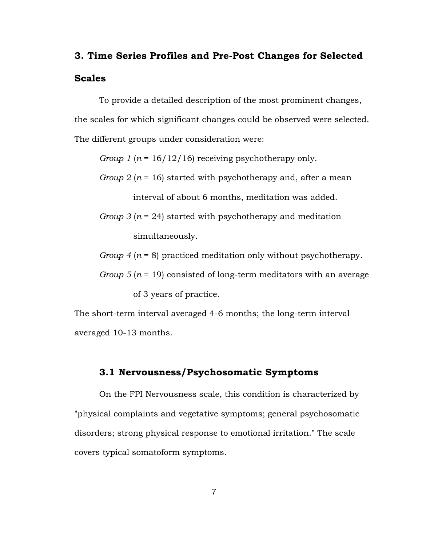# **3. Time Series Profiles and Pre-Post Changes for Selected Scales**

To provide a detailed description of the most prominent changes, the scales for which significant changes could be observed were selected. The different groups under consideration were:

*Group 1* (*n* = 16/12/16) receiving psychotherapy only.

- *Group 2* (*n* = 16) started with psychotherapy and, after a mean interval of about 6 months, meditation was added.
- *Group 3* (*n* = 24) started with psychotherapy and meditation simultaneously.

*Group 4* (*n* = 8) practiced meditation only without psychotherapy.

*Group 5* (*n* = 19) consisted of long-term meditators with an average of 3 years of practice.

The short-term interval averaged 4-6 months; the long-term interval averaged 10-13 months.

## **3.1 Nervousness/Psychosomatic Symptoms**

On the FPI Nervousness scale, this condition is characterized by "physical complaints and vegetative symptoms; general psychosomatic disorders; strong physical response to emotional irritation." The scale covers typical somatoform symptoms.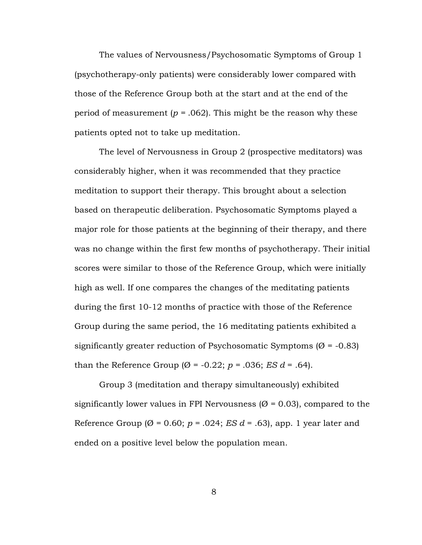The values of Nervousness/Psychosomatic Symptoms of Group 1 (psychotherapy-only patients) were considerably lower compared with those of the Reference Group both at the start and at the end of the period of measurement ( $p = .062$ ). This might be the reason why these patients opted not to take up meditation.

The level of Nervousness in Group 2 (prospective meditators) was considerably higher, when it was recommended that they practice meditation to support their therapy. This brought about a selection based on therapeutic deliberation. Psychosomatic Symptoms played a major role for those patients at the beginning of their therapy, and there was no change within the first few months of psychotherapy. Their initial scores were similar to those of the Reference Group, which were initially high as well. If one compares the changes of the meditating patients during the first 10-12 months of practice with those of the Reference Group during the same period, the 16 meditating patients exhibited a significantly greater reduction of Psychosomatic Symptoms ( $\varnothing$  = -0.83) than the Reference Group ( $\emptyset$  = -0.22;  $p$  = .036; *ES d* = .64).

Group 3 (meditation and therapy simultaneously) exhibited significantly lower values in FPI Nervousness ( $\varnothing$  = 0.03), compared to the Reference Group ( $\emptyset$  = 0.60;  $p$  = .024; *ES d* = .63), app. 1 year later and ended on a positive level below the population mean.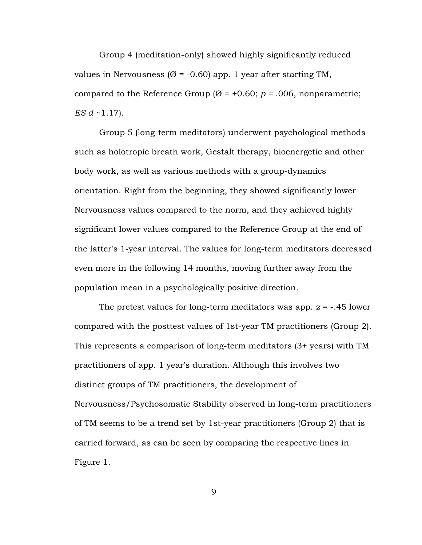Group 4 (meditation-only) showed highly significantly reduced values in Nervousness ( $\varnothing$  = -0.60) app. 1 year after starting TM, compared to the Reference Group ( $\emptyset$  = +0.60;  $p$  = .006, nonparametric; *ES d* ~1.17).

Group 5 (long-term meditators) underwent psychological methods such as holotropic breath work, Gestalt therapy, bioenergetic and other body work, as well as various methods with a group-dynamics orientation. Right from the beginning, they showed significantly lower Nervousness values compared to the norm, and they achieved highly significant lower values compared to the Reference Group at the end of the latter's 1-year interval. The values for long-term meditators decreased even more in the following 14 months, moving further away from the population mean in a psychologically positive direction.

The pretest values for long-term meditators was app. *z* = -.45 lower compared with the posttest values of 1st-year TM practitioners (Group 2). This represents a comparison of long-term meditators (3+ years) with TM practitioners of app. 1 year's duration. Although this involves two distinct groups of TM practitioners, the development of Nervousness/Psychosomatic Stability observed in long-term practitioners of TM seems to be a trend set by 1st-year practitioners (Group 2) that is carried forward, as can be seen by comparing the respective lines in Figure 1.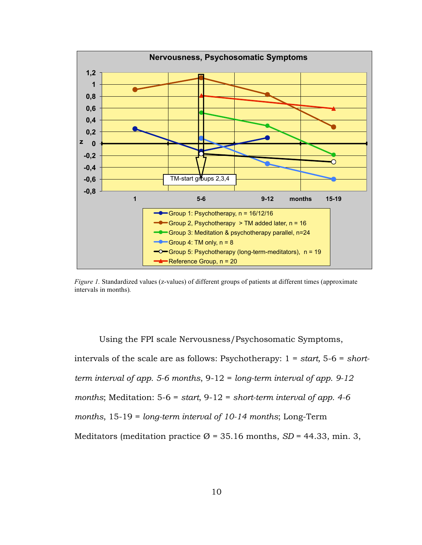

*Figure 1.* Standardized values (z-values) of different groups of patients at different times (approximate intervals in months)*.* 

Using the FPI scale Nervousness/Psychosomatic Symptoms, intervals of the scale are as follows: Psychotherapy: 1 = *start,* 5-6 = *shortterm interval of app. 5-6 months*, 9-12 = *long-term interval of app. 9-12 months*; Meditation: 5-6 = *start*, 9-12 = *short-term interval of app. 4-6 months*, 15-19 = *long-term interval of 10-14 months*; Long-Term Meditators (meditation practice  $\varnothing$  = 35.16 months,  $SD$  = 44.33, min. 3,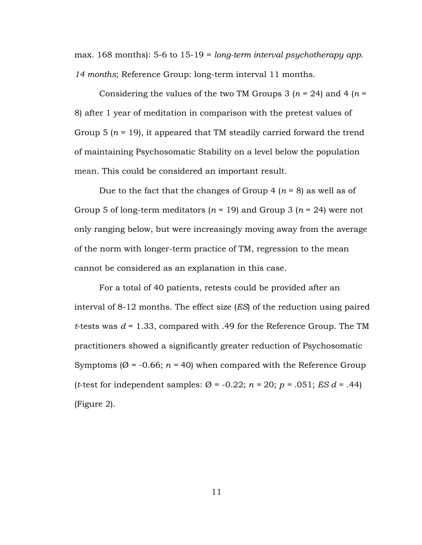max. 168 months): 5-6 to 15-19 = *long-term interval psychotherapy app. 14 months*; Reference Group: long-term interval 11 months.

Considering the values of the two TM Groups 3  $(n = 24)$  and 4  $(n = 12)$ 8) after 1 year of meditation in comparison with the pretest values of Group 5  $(n = 19)$ , it appeared that TM steadily carried forward the trend of maintaining Psychosomatic Stability on a level below the population mean. This could be considered an important result.

Due to the fact that the changes of Group 4 (*n* = 8) as well as of Group 5 of long-term meditators  $(n = 19)$  and Group 3  $(n = 24)$  were not only ranging below, but were increasingly moving away from the average of the norm with longer-term practice of TM, regression to the mean cannot be considered as an explanation in this case.

For a total of 40 patients, retests could be provided after an interval of 8-12 months. The effect size (*ES*) of the reduction using paired *t*-tests was *d* = 1.33, compared with .49 for the Reference Group. The TM practitioners showed a significantly greater reduction of Psychosomatic Symptoms ( $\emptyset$  = -0.66;  $n = 40$ ) when compared with the Reference Group (*t*-test for independent samples:  $\varnothing$  = -0.22;  $n = 20$ ;  $p = .051$ ; *ES d* = .44) (Figure 2).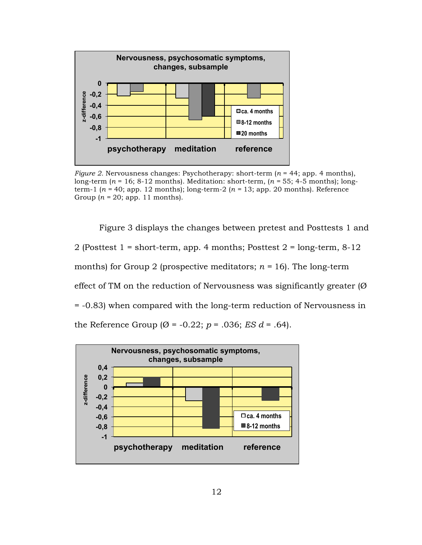

*Figure 2.* Nervousness changes: Psychotherapy: short-term  $(n = 44;$  app. 4 months), long-term (*n* = 16; 8-12 months). Meditation: short-term, (*n =* 55; 4-5 months); longterm-1 (*n =* 40; app. 12 months); long-term-2 (*n =* 13; app. 20 months). Reference Group  $(n = 20;$  app. 11 months).

Figure 3 displays the changes between pretest and Posttests 1 and 2 (Posttest  $1 = short-term$ , app. 4 months; Posttest  $2 = long-term$ ,  $8-12$ months) for Group 2 (prospective meditators;  $n = 16$ ). The long-term effect of TM on the reduction of Nervousness was significantly greater  $(\emptyset)$ = -0.83) when compared with the long-term reduction of Nervousness in the Reference Group  $(\emptyset = -0.22; p = .036; ES d = .64)$ .

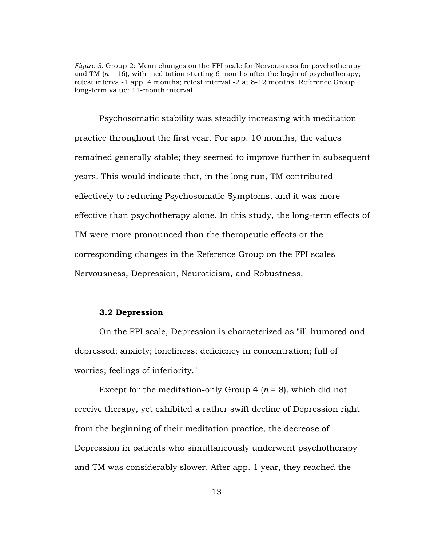*Figure 3.* Group 2: Mean changes on the FPI scale for Nervousness for psychotherapy and TM  $(n = 16)$ , with meditation starting 6 months after the begin of psychotherapy; retest interval-1 app. 4 months; retest interval -2 at 8-12 months. Reference Group long-term value: 11-month interval.

Psychosomatic stability was steadily increasing with meditation practice throughout the first year. For app. 10 months, the values remained generally stable; they seemed to improve further in subsequent years. This would indicate that, in the long run, TM contributed effectively to reducing Psychosomatic Symptoms, and it was more effective than psychotherapy alone. In this study, the long-term effects of TM were more pronounced than the therapeutic effects or the corresponding changes in the Reference Group on the FPI scales Nervousness, Depression, Neuroticism, and Robustness.

## **3.2 Depression**

On the FPI scale, Depression is characterized as "ill-humored and depressed; anxiety; loneliness; deficiency in concentration; full of worries; feelings of inferiority."

Except for the meditation-only Group  $4 (n = 8)$ , which did not receive therapy, yet exhibited a rather swift decline of Depression right from the beginning of their meditation practice, the decrease of Depression in patients who simultaneously underwent psychotherapy and TM was considerably slower. After app. 1 year, they reached the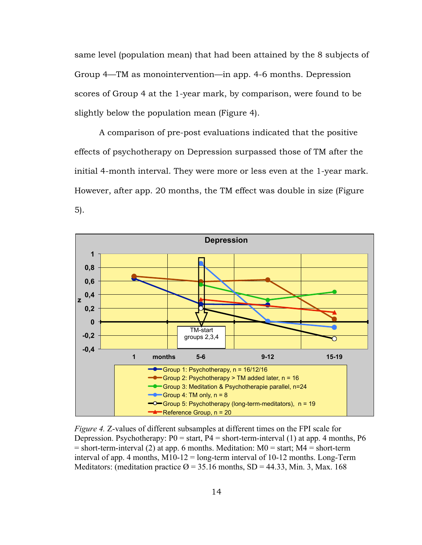same level (population mean) that had been attained by the 8 subjects of Group 4—TM as monointervention—in app. 4-6 months. Depression scores of Group 4 at the 1-year mark, by comparison, were found to be slightly below the population mean (Figure 4).

A comparison of pre-post evaluations indicated that the positive effects of psychotherapy on Depression surpassed those of TM after the initial 4-month interval. They were more or less even at the 1-year mark. However, after app. 20 months, the TM effect was double in size (Figure 5).



*Figure 4.* Z-values of different subsamples at different times on the FPI scale for Depression. Psychotherapy:  $P0 = start$ ,  $P4 = short-term-interval (1)$  at app. 4 months,  $P6$  $=$  short-term-interval (2) at app. 6 months. Meditation:  $M0 =$  start;  $M4 =$  short-term interval of app. 4 months,  $M10-12$  = long-term interval of 10-12 months. Long-Term Meditators: (meditation practice  $\varnothing$  = 35.16 months, SD = 44.33, Min. 3, Max. 168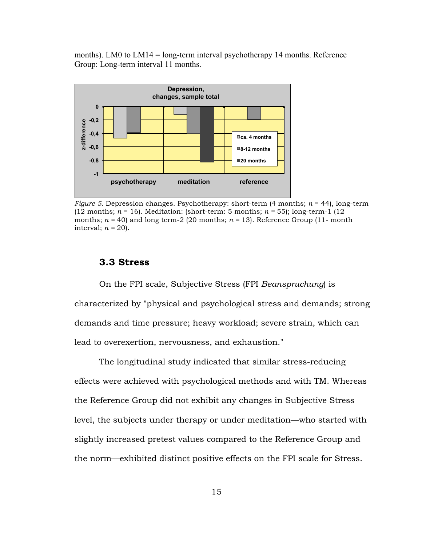months). LM0 to LM14 = long-term interval psychotherapy 14 months. Reference Group: Long-term interval 11 months.



*Figure 5.* Depression changes. Psychotherapy: short-term (4 months; *n* = 44), long-term (12 months; *n* = 16). Meditation: (short-term: 5 months; *n =* 55); long-term-1 (12 months;  $n = 40$ ) and long term-2 (20 months;  $n = 13$ ). Reference Group (11- month interval;  $n = 20$ ).

## **3.3 Stress**

On the FPI scale, Subjective Stress (FPI *Beanspruchung*) is characterized by "physical and psychological stress and demands; strong demands and time pressure; heavy workload; severe strain, which can lead to overexertion, nervousness, and exhaustion."

The longitudinal study indicated that similar stress-reducing effects were achieved with psychological methods and with TM. Whereas the Reference Group did not exhibit any changes in Subjective Stress level, the subjects under therapy or under meditation—who started with slightly increased pretest values compared to the Reference Group and the norm—exhibited distinct positive effects on the FPI scale for Stress.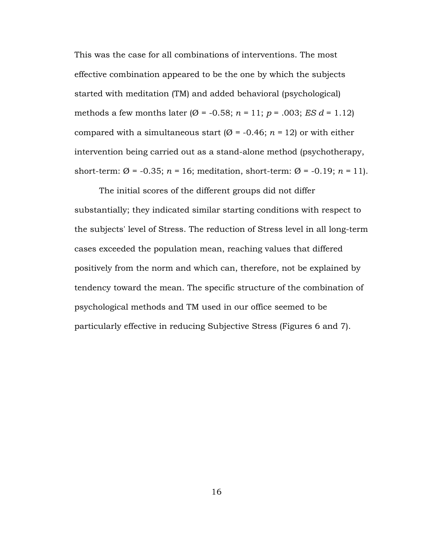This was the case for all combinations of interventions. The most effective combination appeared to be the one by which the subjects started with meditation (TM) and added behavioral (psychological) methods a few months later ( $\varnothing$  = -0.58;  $n = 11$ ;  $p = .003$ ; *ES d* = 1.12) compared with a simultaneous start ( $\varnothing$  = -0.46;  $n = 12$ ) or with either intervention being carried out as a stand-alone method (psychotherapy, short-term:  $\varnothing$  = -0.35;  $n = 16$ ; meditation, short-term:  $\varnothing$  = -0.19;  $n = 11$ ).

The initial scores of the different groups did not differ substantially; they indicated similar starting conditions with respect to the subjects' level of Stress. The reduction of Stress level in all long-term cases exceeded the population mean, reaching values that differed positively from the norm and which can, therefore, not be explained by tendency toward the mean. The specific structure of the combination of psychological methods and TM used in our office seemed to be particularly effective in reducing Subjective Stress (Figures 6 and 7).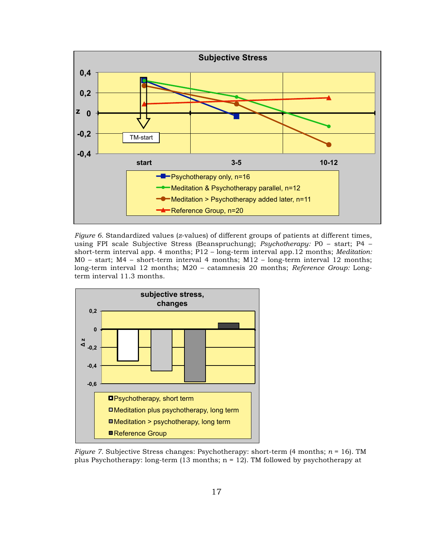

*Figure 6.* Standardized values (*z*-values) of different groups of patients at different times, using FPI scale Subjective Stress (Beanspruchung); *Psychotherapy:* P0 – start; P4 – short-term interval app. 4 months; P12 – long-term interval app.12 months; *Meditation:* M0 – start; M4 – short-term interval 4 months; M12 – long-term interval 12 months; long-term interval 12 months; M20 – catamnesis 20 months; *Reference Group:* Longterm interval 11.3 months.



*Figure 7.* Subjective Stress changes: Psychotherapy: short-term (4 months; *n* = 16). TM plus Psychotherapy: long-term (13 months;  $n = 12$ ). TM followed by psychotherapy at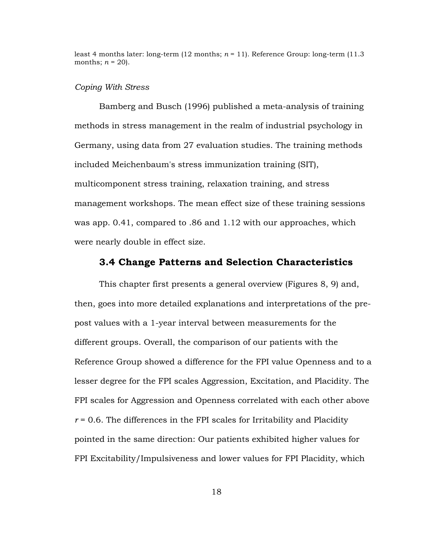least 4 months later: long-term  $(12 \text{ months}; n = 11)$ . Reference Group: long-term  $(11.3 \text{ m})$ months:  $n = 20$ .

#### *Coping With Stress*

Bamberg and Busch (1996) published a meta-analysis of training methods in stress management in the realm of industrial psychology in Germany, using data from 27 evaluation studies. The training methods included Meichenbaum's stress immunization training (SIT), multicomponent stress training, relaxation training, and stress management workshops. The mean effect size of these training sessions was app. 0.41, compared to .86 and 1.12 with our approaches, which were nearly double in effect size.

## **3.4 Change Patterns and Selection Characteristics**

This chapter first presents a general overview (Figures 8, 9) and, then, goes into more detailed explanations and interpretations of the prepost values with a 1-year interval between measurements for the different groups. Overall, the comparison of our patients with the Reference Group showed a difference for the FPI value Openness and to a lesser degree for the FPI scales Aggression, Excitation, and Placidity. The FPI scales for Aggression and Openness correlated with each other above  $r = 0.6$ . The differences in the FPI scales for Irritability and Placidity pointed in the same direction: Our patients exhibited higher values for FPI Excitability/Impulsiveness and lower values for FPI Placidity, which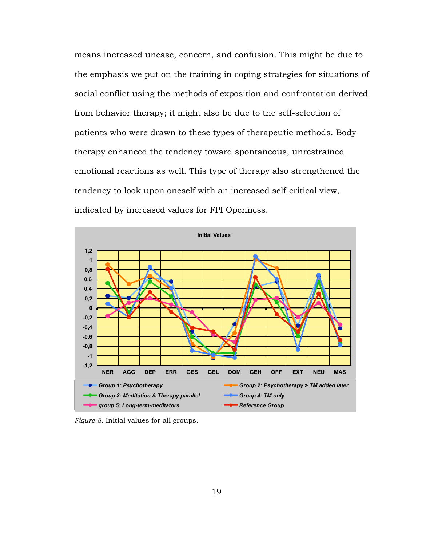means increased unease, concern, and confusion. This might be due to the emphasis we put on the training in coping strategies for situations of social conflict using the methods of exposition and confrontation derived from behavior therapy; it might also be due to the self-selection of patients who were drawn to these types of therapeutic methods. Body therapy enhanced the tendency toward spontaneous, unrestrained emotional reactions as well. This type of therapy also strengthened the tendency to look upon oneself with an increased self-critical view, indicated by increased values for FPI Openness.



*Figure 8.* Initial values for all groups.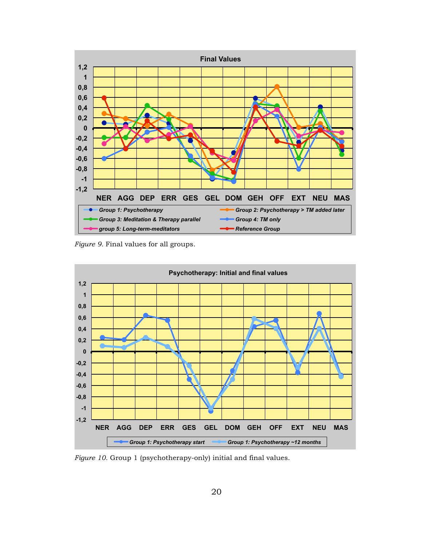

*Figure 9.* Final values for all groups.



*Figure 10.* Group 1 (psychotherapy-only) initial and final values.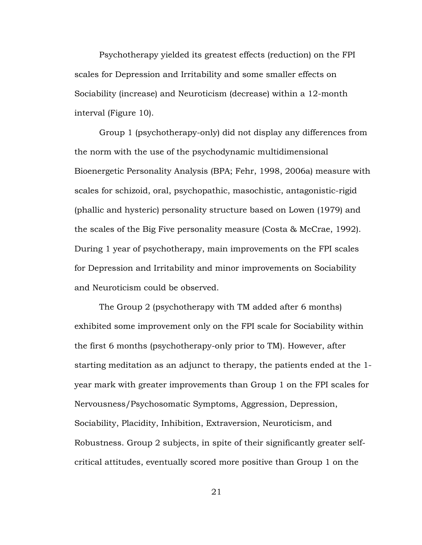Psychotherapy yielded its greatest effects (reduction) on the FPI scales for Depression and Irritability and some smaller effects on Sociability (increase) and Neuroticism (decrease) within a 12-month interval (Figure 10).

Group 1 (psychotherapy-only) did not display any differences from the norm with the use of the psychodynamic multidimensional Bioenergetic Personality Analysis (BPA; Fehr, 1998, 2006a) measure with scales for schizoid, oral, psychopathic, masochistic, antagonistic-rigid (phallic and hysteric) personality structure based on Lowen (1979) and the scales of the Big Five personality measure (Costa & McCrae, 1992). During 1 year of psychotherapy, main improvements on the FPI scales for Depression and Irritability and minor improvements on Sociability and Neuroticism could be observed.

The Group 2 (psychotherapy with TM added after 6 months) exhibited some improvement only on the FPI scale for Sociability within the first 6 months (psychotherapy-only prior to TM). However, after starting meditation as an adjunct to therapy, the patients ended at the 1 year mark with greater improvements than Group 1 on the FPI scales for Nervousness/Psychosomatic Symptoms, Aggression, Depression, Sociability, Placidity, Inhibition, Extraversion, Neuroticism, and Robustness. Group 2 subjects, in spite of their significantly greater selfcritical attitudes, eventually scored more positive than Group 1 on the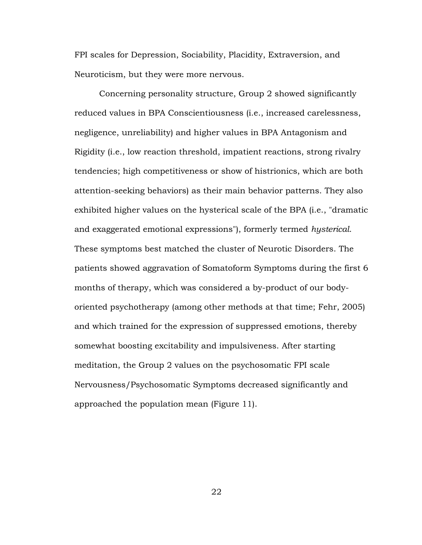FPI scales for Depression, Sociability, Placidity, Extraversion, and Neuroticism, but they were more nervous.

Concerning personality structure, Group 2 showed significantly reduced values in BPA Conscientiousness (i.e., increased carelessness, negligence, unreliability) and higher values in BPA Antagonism and Rigidity (i.e., low reaction threshold, impatient reactions, strong rivalry tendencies; high competitiveness or show of histrionics, which are both attention-seeking behaviors) as their main behavior patterns. They also exhibited higher values on the hysterical scale of the BPA (i.e., "dramatic and exaggerated emotional expressions"), formerly termed *hysterical*. These symptoms best matched the cluster of Neurotic Disorders. The patients showed aggravation of Somatoform Symptoms during the first 6 months of therapy, which was considered a by-product of our bodyoriented psychotherapy (among other methods at that time; Fehr, 2005) and which trained for the expression of suppressed emotions, thereby somewhat boosting excitability and impulsiveness. After starting meditation, the Group 2 values on the psychosomatic FPI scale Nervousness/Psychosomatic Symptoms decreased significantly and approached the population mean (Figure 11).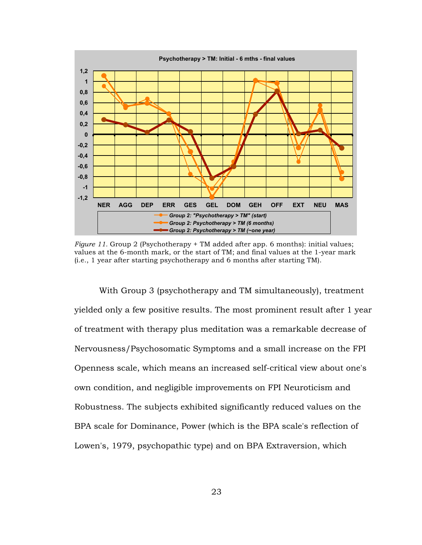

*Figure 11.* Group 2 (Psychotherapy + TM added after app. 6 months): initial values; values at the 6-month mark, or the start of TM; and final values at the 1-year mark (i.e., 1 year after starting psychotherapy and 6 months after starting TM).

With Group 3 (psychotherapy and TM simultaneously), treatment yielded only a few positive results. The most prominent result after 1 year of treatment with therapy plus meditation was a remarkable decrease of Nervousness/Psychosomatic Symptoms and a small increase on the FPI Openness scale, which means an increased self-critical view about one's own condition, and negligible improvements on FPI Neuroticism and Robustness. The subjects exhibited significantly reduced values on the BPA scale for Dominance, Power (which is the BPA scale's reflection of Lowen's, 1979, psychopathic type) and on BPA Extraversion, which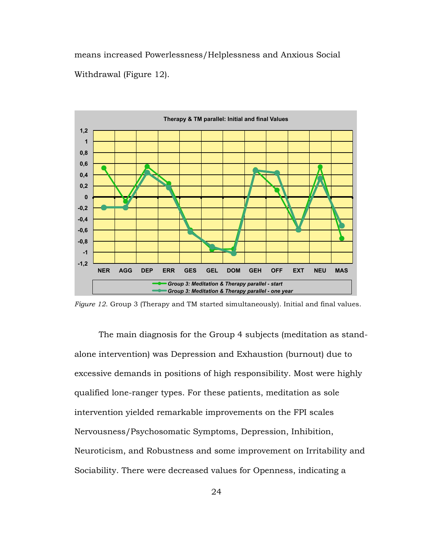means increased Powerlessness/Helplessness and Anxious Social Withdrawal (Figure 12).



*Figure 12*. Group 3 (Therapy and TM started simultaneously). Initial and final values.

The main diagnosis for the Group 4 subjects (meditation as standalone intervention) was Depression and Exhaustion (burnout) due to excessive demands in positions of high responsibility. Most were highly qualified lone-ranger types. For these patients, meditation as sole intervention yielded remarkable improvements on the FPI scales Nervousness/Psychosomatic Symptoms, Depression, Inhibition, Neuroticism, and Robustness and some improvement on Irritability and Sociability. There were decreased values for Openness, indicating a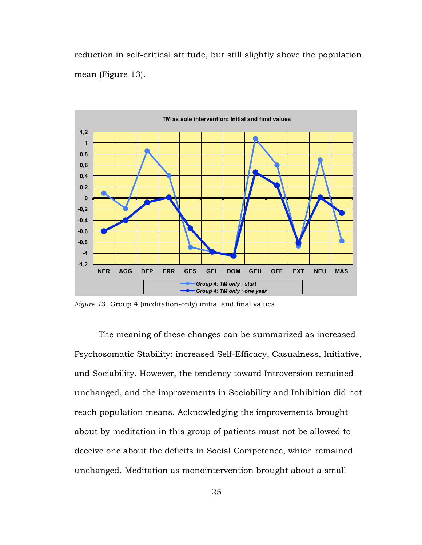reduction in self-critical attitude, but still slightly above the population mean (Figure 13).



*Figure 1*3. Group 4 (meditation-only) initial and final values.

The meaning of these changes can be summarized as increased Psychosomatic Stability: increased Self-Efficacy, Casualness, Initiative, and Sociability. However, the tendency toward Introversion remained unchanged, and the improvements in Sociability and Inhibition did not reach population means. Acknowledging the improvements brought about by meditation in this group of patients must not be allowed to deceive one about the deficits in Social Competence, which remained unchanged. Meditation as monointervention brought about a small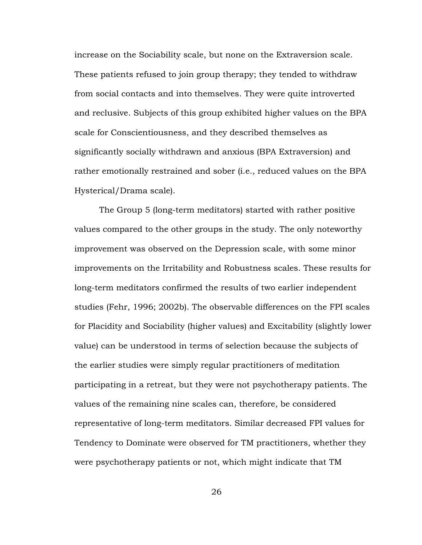increase on the Sociability scale, but none on the Extraversion scale. These patients refused to join group therapy; they tended to withdraw from social contacts and into themselves. They were quite introverted and reclusive. Subjects of this group exhibited higher values on the BPA scale for Conscientiousness, and they described themselves as significantly socially withdrawn and anxious (BPA Extraversion) and rather emotionally restrained and sober (i.e., reduced values on the BPA Hysterical/Drama scale).

The Group 5 (long-term meditators) started with rather positive values compared to the other groups in the study. The only noteworthy improvement was observed on the Depression scale, with some minor improvements on the Irritability and Robustness scales. These results for long-term meditators confirmed the results of two earlier independent studies (Fehr, 1996; 2002b). The observable differences on the FPI scales for Placidity and Sociability (higher values) and Excitability (slightly lower value) can be understood in terms of selection because the subjects of the earlier studies were simply regular practitioners of meditation participating in a retreat, but they were not psychotherapy patients. The values of the remaining nine scales can, therefore, be considered representative of long-term meditators. Similar decreased FPI values for Tendency to Dominate were observed for TM practitioners, whether they were psychotherapy patients or not, which might indicate that TM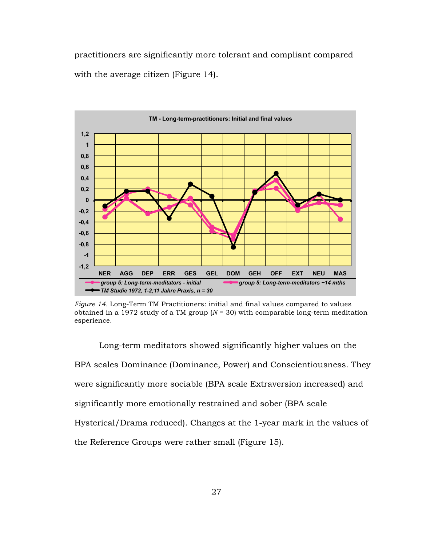practitioners are significantly more tolerant and compliant compared with the average citizen (Figure 14).



*Figure 14.* Long-Term TM Practitioners: initial and final values compared to values obtained in a 1972 study of a TM group  $(N = 30)$  with comparable long-term meditation esperience.

Long-term meditators showed significantly higher values on the BPA scales Dominance (Dominance, Power) and Conscientiousness. They were significantly more sociable (BPA scale Extraversion increased) and significantly more emotionally restrained and sober (BPA scale Hysterical/Drama reduced). Changes at the 1-year mark in the values of the Reference Groups were rather small (Figure 15).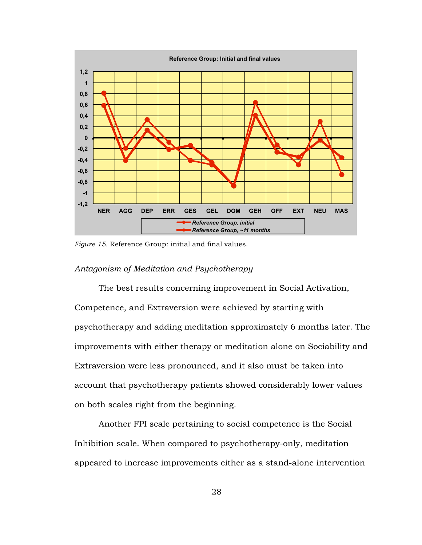

*Figure 15.* Reference Group: initial and final values.

#### *Antagonism of Meditation and Psychotherapy*

The best results concerning improvement in Social Activation, Competence, and Extraversion were achieved by starting with psychotherapy and adding meditation approximately 6 months later. The improvements with either therapy or meditation alone on Sociability and Extraversion were less pronounced, and it also must be taken into account that psychotherapy patients showed considerably lower values on both scales right from the beginning.

Another FPI scale pertaining to social competence is the Social Inhibition scale. When compared to psychotherapy-only, meditation appeared to increase improvements either as a stand-alone intervention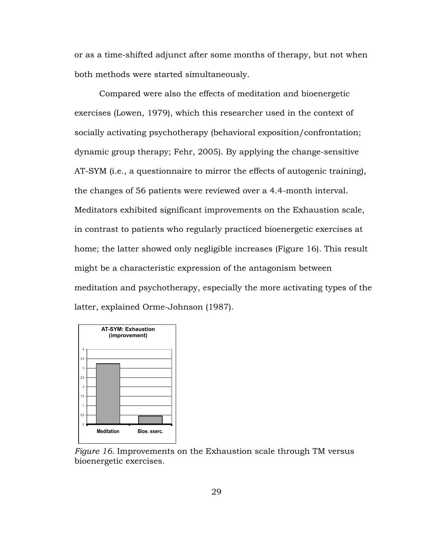or as a time-shifted adjunct after some months of therapy, but not when both methods were started simultaneously.

Compared were also the effects of meditation and bioenergetic exercises (Lowen, 1979), which this researcher used in the context of socially activating psychotherapy (behavioral exposition/confrontation; dynamic group therapy; Fehr, 2005). By applying the change-sensitive AT-SYM (i.e., a questionnaire to mirror the effects of autogenic training), the changes of 56 patients were reviewed over a 4.4-month interval. Meditators exhibited significant improvements on the Exhaustion scale, in contrast to patients who regularly practiced bioenergetic exercises at home; the latter showed only negligible increases (Figure 16). This result might be a characteristic expression of the antagonism between meditation and psychotherapy, especially the more activating types of the latter, explained Orme-Johnson (1987).



*Figure 16.* Improvements on the Exhaustion scale through TM versus bioenergetic exercises.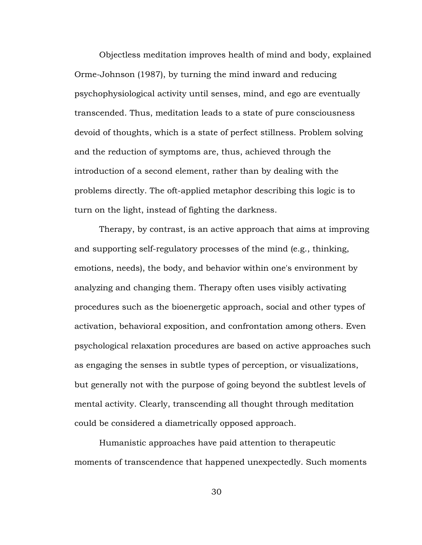Objectless meditation improves health of mind and body, explained Orme-Johnson (1987), by turning the mind inward and reducing psychophysiological activity until senses, mind, and ego are eventually transcended. Thus, meditation leads to a state of pure consciousness devoid of thoughts, which is a state of perfect stillness. Problem solving and the reduction of symptoms are, thus, achieved through the introduction of a second element, rather than by dealing with the problems directly. The oft-applied metaphor describing this logic is to turn on the light, instead of fighting the darkness.

Therapy, by contrast, is an active approach that aims at improving and supporting self-regulatory processes of the mind (e.g., thinking, emotions, needs), the body, and behavior within one's environment by analyzing and changing them. Therapy often uses visibly activating procedures such as the bioenergetic approach, social and other types of activation, behavioral exposition, and confrontation among others. Even psychological relaxation procedures are based on active approaches such as engaging the senses in subtle types of perception, or visualizations, but generally not with the purpose of going beyond the subtlest levels of mental activity. Clearly, transcending all thought through meditation could be considered a diametrically opposed approach.

Humanistic approaches have paid attention to therapeutic moments of transcendence that happened unexpectedly. Such moments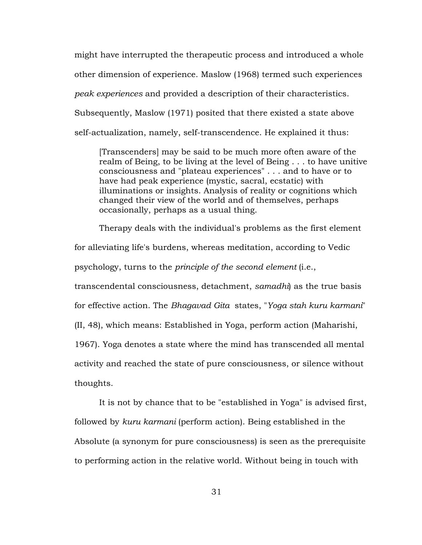might have interrupted the therapeutic process and introduced a whole other dimension of experience. Maslow (1968) termed such experiences *peak experiences* and provided a description of their characteristics. Subsequently, Maslow (1971) posited that there existed a state above self-actualization, namely, self-transcendence. He explained it thus:

[Transcenders] may be said to be much more often aware of the realm of Being, to be living at the level of Being . . . to have unitive consciousness and "plateau experiences" . . . and to have or to have had peak experience (mystic, sacral, ecstatic) with illuminations or insights. Analysis of reality or cognitions which changed their view of the world and of themselves, perhaps occasionally, perhaps as a usual thing.

Therapy deals with the individual's problems as the first element for alleviating life's burdens, whereas meditation, according to Vedic psychology, turns to the *principle of the second element* (i.e., transcendental consciousness, detachment, *samadhi*) as the true basis for effective action. The *Bhagavad Gita* states, "*Yoga stah kuru karmani*" (II, 48), which means: Established in Yoga, perform action (Maharishi, 1967). Yoga denotes a state where the mind has transcended all mental activity and reached the state of pure consciousness, or silence without thoughts.

It is not by chance that to be "established in Yoga" is advised first, followed by *kuru karmani* (perform action). Being established in the Absolute (a synonym for pure consciousness) is seen as the prerequisite to performing action in the relative world. Without being in touch with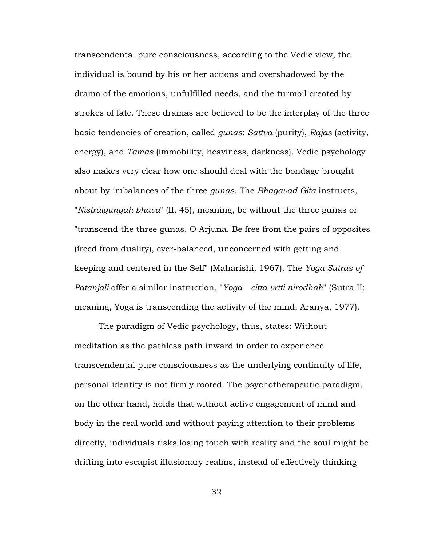transcendental pure consciousness, according to the Vedic view, the individual is bound by his or her actions and overshadowed by the drama of the emotions, unfulfilled needs, and the turmoil created by strokes of fate. These dramas are believed to be the interplay of the three basic tendencies of creation, called *gunas*: *Sattva* (purity), *Rajas* (activity, energy), and *Tamas* (immobility, heaviness, darkness). Vedic psychology also makes very clear how one should deal with the bondage brought about by imbalances of the three *gunas*. The *Bhagavad Gita* instructs, "*Nistraigunyah bhava*" (II, 45), meaning, be without the three gunas or "transcend the three gunas, O Arjuna. Be free from the pairs of opposites (freed from duality), ever-balanced, unconcerned with getting and keeping and centered in the Self" (Maharishi, 1967). The *Yoga Sutras of Patanjali* offer a similar instruction, "*Yoga citta-vrtti-nirodhah*" (Sutra II; meaning, Yoga is transcending the activity of the mind; Aranya, 1977).

The paradigm of Vedic psychology, thus, states: Without meditation as the pathless path inward in order to experience transcendental pure consciousness as the underlying continuity of life, personal identity is not firmly rooted. The psychotherapeutic paradigm, on the other hand, holds that without active engagement of mind and body in the real world and without paying attention to their problems directly, individuals risks losing touch with reality and the soul might be drifting into escapist illusionary realms, instead of effectively thinking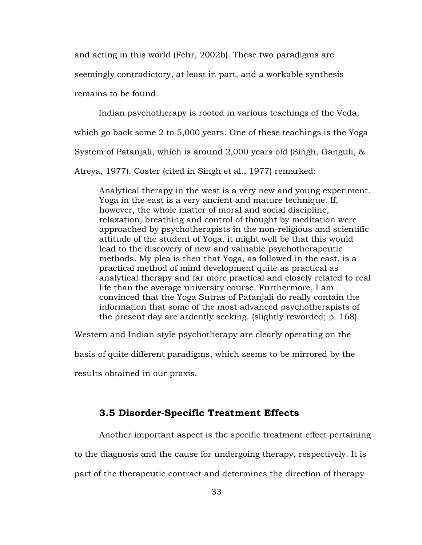and acting in this world (Fehr, 2002b). These two paradigms are

seemingly contradictory, at least in part, and a workable synthesis

remains to be found.

Indian psychotherapy is rooted in various teachings of the Veda,

which go back some 2 to 5,000 years. One of these teachings is the Yoga

System of Patanjali, which is around 2,000 years old (Singh, Ganguli, &

Atreya, 1977). Coster (cited in Singh et al., 1977) remarked:

Analytical therapy in the west is a very new and young experiment. Yoga in the east is a very ancient and mature technique. If, however, the whole matter of moral and social discipline, relaxation, breathing and control of thought by meditation were approached by psychotherapists in the non-religious and scientific attitude of the student of Yoga, it might well be that this would lead to the discovery of new and valuable psychotherapeutic methods. My plea is then that Yoga, as followed in the east, is a practical method of mind development quite as practical as analytical therapy and far more practical and closely related to real life than the average university course. Furthermore, I am convinced that the Yoga Sutras of Patanjali do really contain the information that some of the most advanced psychotherapists of the present day are ardently seeking. (slightly reworded; p. 168)

Western and Indian style psychotherapy are clearly operating on the

basis of quite different paradigms, which seems to be mirrored by the

results obtained in our praxis.

## **3.5 Disorder-Specific Treatment Effects**

Another important aspect is the specific treatment effect pertaining to the diagnosis and the cause for undergoing therapy, respectively. It is part of the therapeutic contract and determines the direction of therapy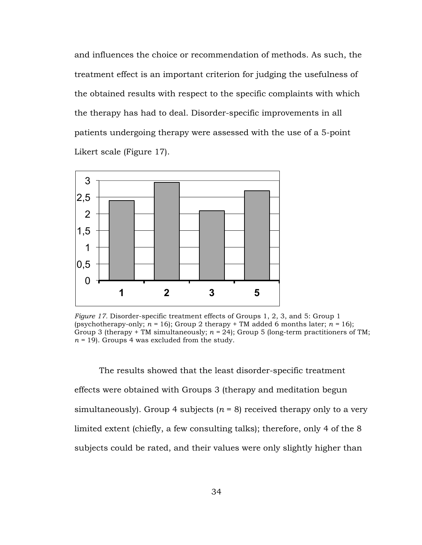and influences the choice or recommendation of methods. As such, the treatment effect is an important criterion for judging the usefulness of the obtained results with respect to the specific complaints with which the therapy has had to deal. Disorder-specific improvements in all patients undergoing therapy were assessed with the use of a 5-point Likert scale (Figure 17).



*Figure 17.* Disorder-specific treatment effects of Groups 1, 2, 3, and 5: Group 1 (psychotherapy-only;  $n = 16$ ); Group 2 therapy + TM added 6 months later;  $n = 16$ ); Group 3 (therapy + TM simultaneously; *n =* 24); Group 5 (long-term practitioners of TM; *n =* 19). Groups 4 was excluded from the study.

The results showed that the least disorder-specific treatment effects were obtained with Groups 3 (therapy and meditation begun simultaneously). Group 4 subjects  $(n = 8)$  received therapy only to a very limited extent (chiefly, a few consulting talks); therefore, only 4 of the 8 subjects could be rated, and their values were only slightly higher than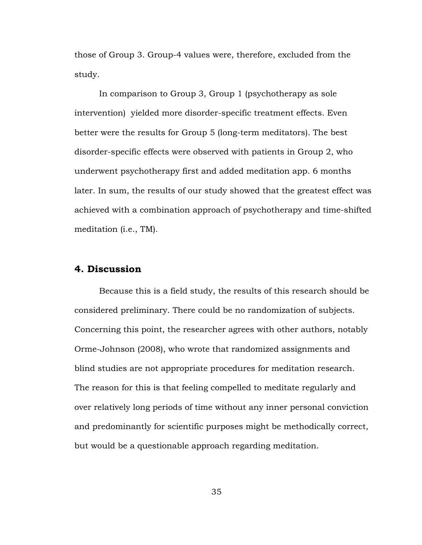those of Group 3. Group-4 values were, therefore, excluded from the study.

In comparison to Group 3, Group 1 (psychotherapy as sole intervention) yielded more disorder-specific treatment effects. Even better were the results for Group 5 (long-term meditators). The best disorder-specific effects were observed with patients in Group 2, who underwent psychotherapy first and added meditation app. 6 months later. In sum, the results of our study showed that the greatest effect was achieved with a combination approach of psychotherapy and time-shifted meditation (i.e., TM).

## **4. Discussion**

Because this is a field study, the results of this research should be considered preliminary. There could be no randomization of subjects. Concerning this point, the researcher agrees with other authors, notably Orme-Johnson (2008), who wrote that randomized assignments and blind studies are not appropriate procedures for meditation research. The reason for this is that feeling compelled to meditate regularly and over relatively long periods of time without any inner personal conviction and predominantly for scientific purposes might be methodically correct, but would be a questionable approach regarding meditation.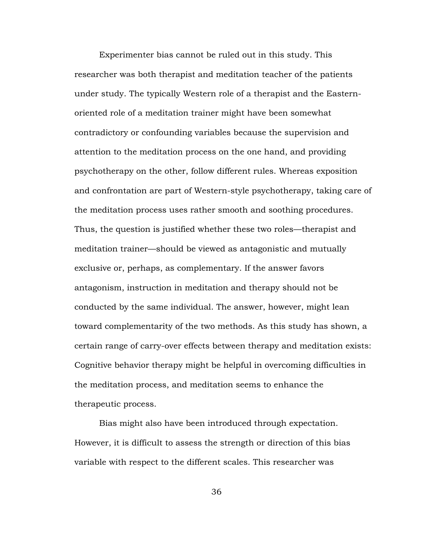Experimenter bias cannot be ruled out in this study. This researcher was both therapist and meditation teacher of the patients under study. The typically Western role of a therapist and the Easternoriented role of a meditation trainer might have been somewhat contradictory or confounding variables because the supervision and attention to the meditation process on the one hand, and providing psychotherapy on the other, follow different rules. Whereas exposition and confrontation are part of Western-style psychotherapy, taking care of the meditation process uses rather smooth and soothing procedures. Thus, the question is justified whether these two roles—therapist and meditation trainer—should be viewed as antagonistic and mutually exclusive or, perhaps, as complementary. If the answer favors antagonism, instruction in meditation and therapy should not be conducted by the same individual. The answer, however, might lean toward complementarity of the two methods. As this study has shown, a certain range of carry-over effects between therapy and meditation exists: Cognitive behavior therapy might be helpful in overcoming difficulties in the meditation process, and meditation seems to enhance the therapeutic process.

Bias might also have been introduced through expectation. However, it is difficult to assess the strength or direction of this bias variable with respect to the different scales. This researcher was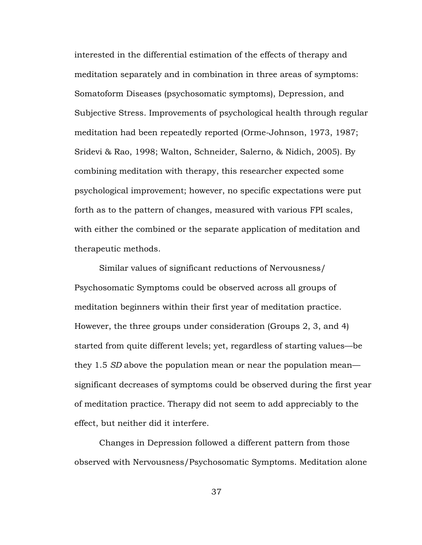interested in the differential estimation of the effects of therapy and meditation separately and in combination in three areas of symptoms: Somatoform Diseases (psychosomatic symptoms), Depression, and Subjective Stress. Improvements of psychological health through regular meditation had been repeatedly reported (Orme-Johnson, 1973, 1987; Sridevi & Rao, 1998; Walton, Schneider, Salerno, & Nidich, 2005). By combining meditation with therapy, this researcher expected some psychological improvement; however, no specific expectations were put forth as to the pattern of changes, measured with various FPI scales, with either the combined or the separate application of meditation and therapeutic methods.

Similar values of significant reductions of Nervousness/ Psychosomatic Symptoms could be observed across all groups of meditation beginners within their first year of meditation practice. However, the three groups under consideration (Groups 2, 3, and 4) started from quite different levels; yet, regardless of starting values—be they 1.5 *SD* above the population mean or near the population mean significant decreases of symptoms could be observed during the first year of meditation practice. Therapy did not seem to add appreciably to the effect, but neither did it interfere.

Changes in Depression followed a different pattern from those observed with Nervousness/Psychosomatic Symptoms. Meditation alone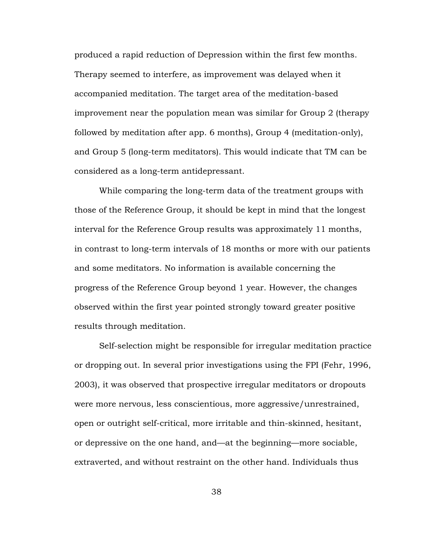produced a rapid reduction of Depression within the first few months. Therapy seemed to interfere, as improvement was delayed when it accompanied meditation. The target area of the meditation-based improvement near the population mean was similar for Group 2 (therapy followed by meditation after app. 6 months), Group 4 (meditation-only), and Group 5 (long-term meditators). This would indicate that TM can be considered as a long-term antidepressant.

While comparing the long-term data of the treatment groups with those of the Reference Group, it should be kept in mind that the longest interval for the Reference Group results was approximately 11 months, in contrast to long-term intervals of 18 months or more with our patients and some meditators. No information is available concerning the progress of the Reference Group beyond 1 year. However, the changes observed within the first year pointed strongly toward greater positive results through meditation.

Self-selection might be responsible for irregular meditation practice or dropping out. In several prior investigations using the FPI (Fehr, 1996, 2003), it was observed that prospective irregular meditators or dropouts were more nervous, less conscientious, more aggressive/unrestrained, open or outright self-critical, more irritable and thin-skinned, hesitant, or depressive on the one hand, and—at the beginning—more sociable, extraverted, and without restraint on the other hand. Individuals thus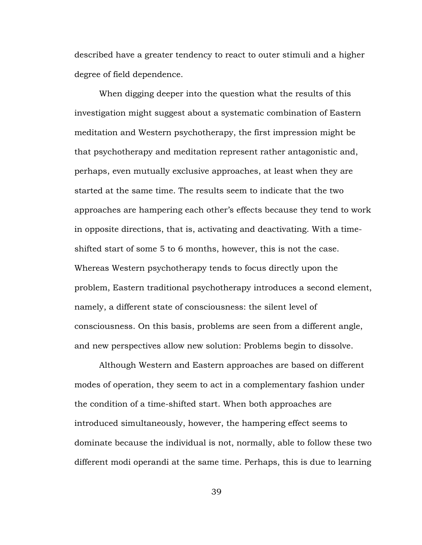described have a greater tendency to react to outer stimuli and a higher degree of field dependence.

When digging deeper into the question what the results of this investigation might suggest about a systematic combination of Eastern meditation and Western psychotherapy, the first impression might be that psychotherapy and meditation represent rather antagonistic and, perhaps, even mutually exclusive approaches, at least when they are started at the same time. The results seem to indicate that the two approaches are hampering each other's effects because they tend to work in opposite directions, that is, activating and deactivating. With a timeshifted start of some 5 to 6 months, however, this is not the case. Whereas Western psychotherapy tends to focus directly upon the problem, Eastern traditional psychotherapy introduces a second element, namely, a different state of consciousness: the silent level of consciousness. On this basis, problems are seen from a different angle, and new perspectives allow new solution: Problems begin to dissolve.

Although Western and Eastern approaches are based on different modes of operation, they seem to act in a complementary fashion under the condition of a time-shifted start. When both approaches are introduced simultaneously, however, the hampering effect seems to dominate because the individual is not, normally, able to follow these two different modi operandi at the same time. Perhaps, this is due to learning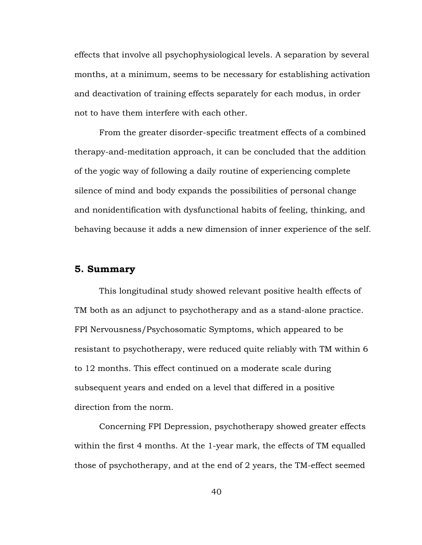effects that involve all psychophysiological levels. A separation by several months, at a minimum, seems to be necessary for establishing activation and deactivation of training effects separately for each modus, in order not to have them interfere with each other.

From the greater disorder-specific treatment effects of a combined therapy-and-meditation approach, it can be concluded that the addition of the yogic way of following a daily routine of experiencing complete silence of mind and body expands the possibilities of personal change and nonidentification with dysfunctional habits of feeling, thinking, and behaving because it adds a new dimension of inner experience of the self.

## **5. Summary**

This longitudinal study showed relevant positive health effects of TM both as an adjunct to psychotherapy and as a stand-alone practice. FPI Nervousness/Psychosomatic Symptoms, which appeared to be resistant to psychotherapy, were reduced quite reliably with TM within 6 to 12 months. This effect continued on a moderate scale during subsequent years and ended on a level that differed in a positive direction from the norm.

Concerning FPI Depression, psychotherapy showed greater effects within the first 4 months. At the 1-year mark, the effects of TM equalled those of psychotherapy, and at the end of 2 years, the TM-effect seemed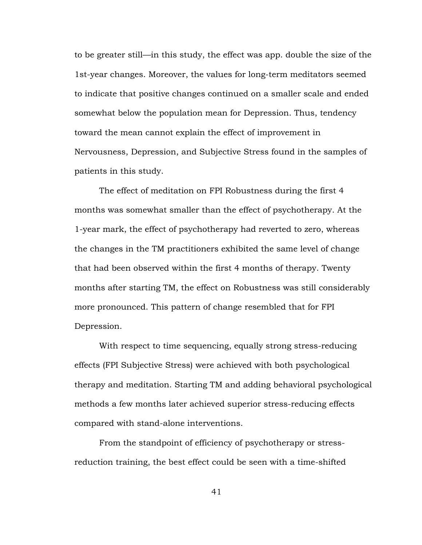to be greater still—in this study, the effect was app. double the size of the 1st-year changes. Moreover, the values for long-term meditators seemed to indicate that positive changes continued on a smaller scale and ended somewhat below the population mean for Depression. Thus, tendency toward the mean cannot explain the effect of improvement in Nervousness, Depression, and Subjective Stress found in the samples of patients in this study.

The effect of meditation on FPI Robustness during the first 4 months was somewhat smaller than the effect of psychotherapy. At the 1-year mark, the effect of psychotherapy had reverted to zero, whereas the changes in the TM practitioners exhibited the same level of change that had been observed within the first 4 months of therapy. Twenty months after starting TM, the effect on Robustness was still considerably more pronounced. This pattern of change resembled that for FPI Depression.

With respect to time sequencing, equally strong stress-reducing effects (FPI Subjective Stress) were achieved with both psychological therapy and meditation. Starting TM and adding behavioral psychological methods a few months later achieved superior stress-reducing effects compared with stand-alone interventions.

From the standpoint of efficiency of psychotherapy or stressreduction training, the best effect could be seen with a time-shifted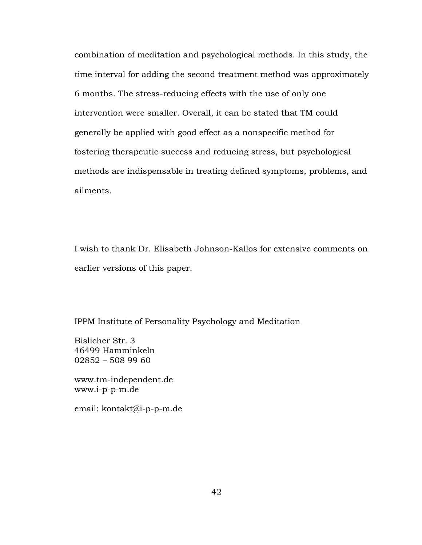combination of meditation and psychological methods. In this study, the time interval for adding the second treatment method was approximately 6 months. The stress-reducing effects with the use of only one intervention were smaller. Overall, it can be stated that TM could generally be applied with good effect as a nonspecific method for fostering therapeutic success and reducing stress, but psychological methods are indispensable in treating defined symptoms, problems, and ailments.

I wish to thank Dr. Elisabeth Johnson-Kallos for extensive comments on earlier versions of this paper.

IPPM Institute of Personality Psychology and Meditation

Bislicher Str. 3 46499 Hamminkeln 02852 – 508 99 60

www.tm-independent.de www.i-p-p-m.de

email: kontakt@i-p-p-m.de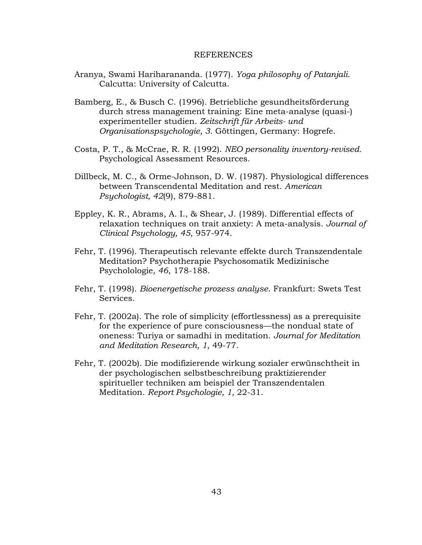#### REFERENCES

- Aranya, Swami Hariharananda. (1977). *Yoga philosophy of Patanjali.*  Calcutta: University of Calcutta.
- Bamberg, E., & Busch C. (1996). Betriebliche gesundheitsförderung durch stress management training: Eine meta-analyse (quasi-) experimenteller studien. *Zeitschrift für Arbeits- und Organisationspsychologie, 3.* Göttingen, Germany: Hogrefe.
- Costa, P. T., & McCrae, R. R. (1992). *NEO personality inventory-revised.* Psychological Assessment Resources.
- Dillbeck, M. C., & Orme-Johnson, D. W. (1987). Physiological differences between Transcendental Meditation and rest. *American Psychologist, 42*(9), 879-881.
- Eppley, K. R., Abrams, A. I., & Shear, J. (1989). Differential effects of relaxation techniques on trait anxiety: A meta-analysis. *Journal of Clinical Psychology, 45*, 957-974.
- Fehr, T. (1996). Therapeutisch relevante effekte durch Transzendentale Meditation? Psychotherapie Psychosomatik Medizinische Psycholologie*, 46*, 178-188.
- Fehr, T. (1998). *Bioenergetische prozess analyse*. Frankfurt: Swets Test Services.
- Fehr, T. (2002a). The role of simplicity (effortlessness) as a prerequisite for the experience of pure consciousness—the nondual state of oneness: Turiya or samadhi in meditation. *Journal for Meditation and Meditation Research, 1*, 49-77.
- Fehr, T. (2002b). Die modifizierende wirkung sozialer erwünschtheit in der psychologischen selbstbeschreibung praktizierender spiritueller techniken am beispiel der Transzendentalen Meditation. *Report Psychologie, 1,* 22-31.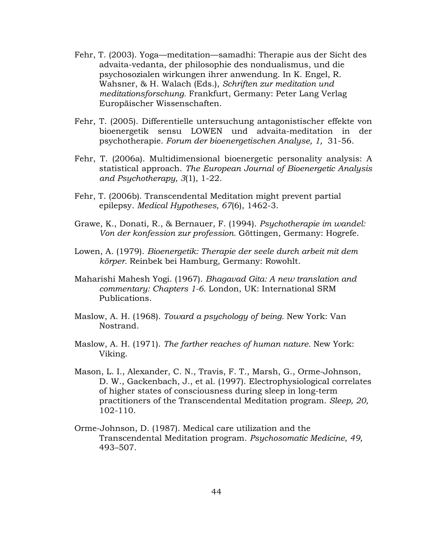- Fehr, T. (2003). Yoga—meditation—samadhi: Therapie aus der Sicht des advaita-vedanta, der philosophie des nondualismus, und die psychosozialen wirkungen ihrer anwendung. In K. Engel, R. Wahsner, & H. Walach (Eds.), *Schriften zur meditation und meditationsforschung.* Frankfurt, Germany: Peter Lang Verlag Europäischer Wissenschaften.
- Fehr, T. (2005). Differentielle untersuchung antagonistischer effekte von bioenergetik sensu LOWEN und advaita-meditation in der psychotherapie. *Forum der bioenergetischen Analyse, 1,* 31-56.
- Fehr, T. (2006a). Multidimensional bioenergetic personality analysis: A statistical approach. *The European Journal of Bioenergetic Analysis and Psychotherapy, 3*(1), 1-22.
- Fehr, T. (2006b). Transcendental Meditation might prevent partial epilepsy. *Medical Hypotheses, 67*(6), 1462-3.
- Grawe, K., Donati, R., & Bernauer, F. (1994). *Psychotherapie im wandel: Von der konfession zur profession.* Göttingen, Germany: Hogrefe.
- Lowen, A. (1979). *Bioenergetik: Therapie der seele durch arbeit mit dem körper.* Reinbek bei Hamburg, Germany: Rowohlt.
- Maharishi Mahesh Yogi. (1967). *Bhagavad Gita: A new translation and commentary: Chapters 1-6.* London, UK: International SRM Publications.
- Maslow, A. H. (1968). *Toward a psychology of being.* New York: Van Nostrand.
- Maslow, A. H. (1971). *The farther reaches of human nature.* New York: Viking.
- Mason, L. I., Alexander, C. N., Travis, F. T., Marsh, G., Orme-Johnson, D. W., Gackenbach, J., et al. (1997). Electrophysiological correlates of higher states of consciousness during sleep in long-term practitioners of the Transcendental Meditation program. *Sleep, 20,* 102-110.
- Orme-Johnson, D. (1987). Medical care utilization and the Transcendental Meditation program. *Psychosomatic Medicine, 49,* 493–507.